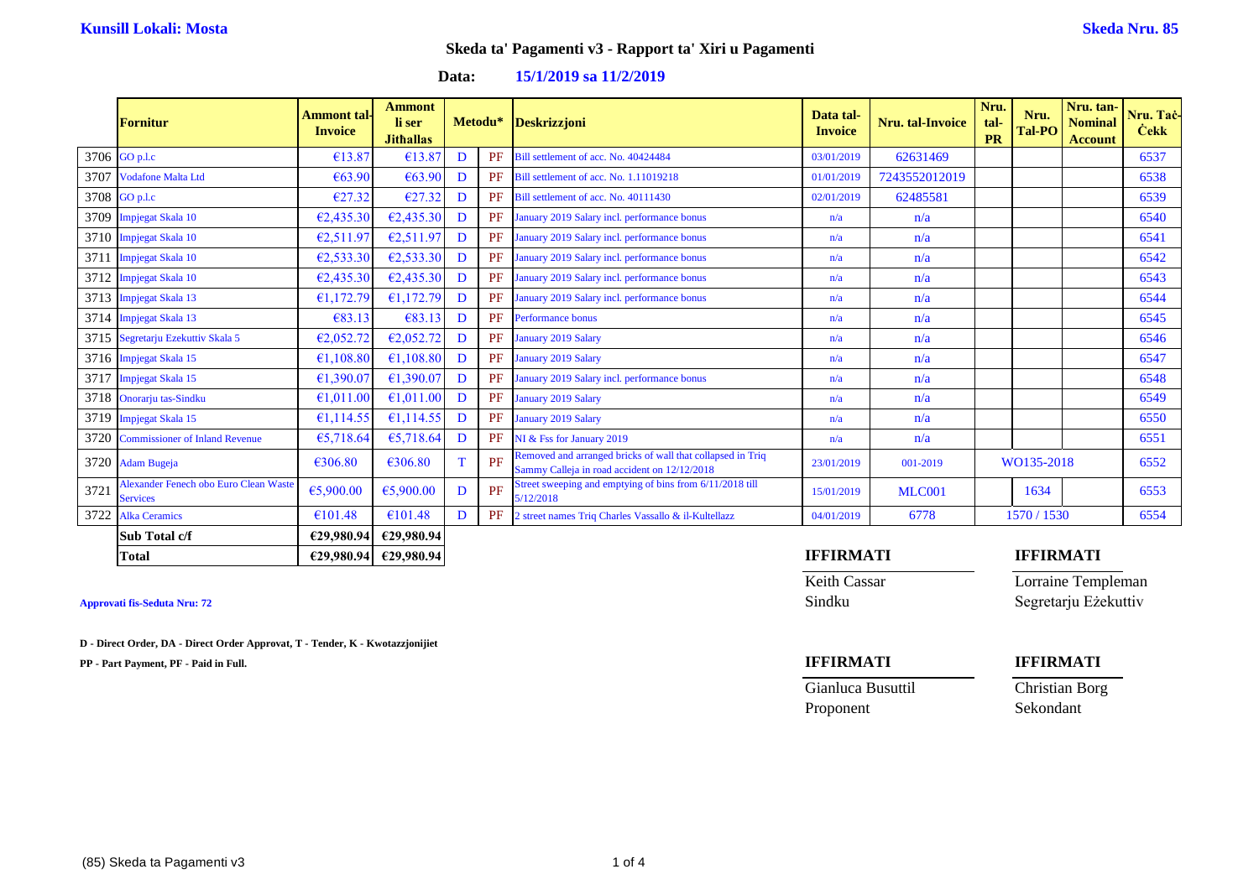### **Data: 15/1/2019 sa 11/2/2019**

|      | <b>Fornitur</b>                                                 | <b>Ammont</b> tal-<br><b>Invoice</b> | <b>Ammont</b><br>li ser<br><b>Jithallas</b> |   |    | Metodu* Deskrizzjoni                                                                                       | Data tal-<br><b>Invoice</b> | <b>Nru.</b> tal-Invoice | Nru.<br>tal-<br><b>PR</b> | Nru.<br>Tal-PO | Nru. tan-<br><b>Nominal</b><br><b>Account</b> | Nru. Tač-<br><b>Čekk</b> |
|------|-----------------------------------------------------------------|--------------------------------------|---------------------------------------------|---|----|------------------------------------------------------------------------------------------------------------|-----------------------------|-------------------------|---------------------------|----------------|-----------------------------------------------|--------------------------|
|      | 3706 GO p.l.c                                                   | €13.87                               | €13.87                                      | D | PF | Bill settlement of acc. No. 40424484                                                                       | 03/01/2019                  | 62631469                |                           |                |                                               | 6537                     |
| 3707 | <b>Vodafone Malta Ltd</b>                                       | €63.90                               | €63.90                                      | D | PF | Bill settlement of acc. No. 1.11019218                                                                     | 01/01/2019                  | 7243552012019           |                           |                |                                               | 6538                     |
|      | 3708 GO p.l.c                                                   | €27.32                               | €27.32                                      | D | PF | Bill settlement of acc. No. 40111430                                                                       | 02/01/2019                  | 62485581                |                           |                |                                               | 6539                     |
|      | 3709 Impjegat Skala 10                                          | E2,435.30                            | E2,435.30                                   | D | PF | January 2019 Salary incl. performance bonus                                                                | n/a                         | n/a                     |                           |                |                                               | 6540                     |
|      | 3710 Impjegat Skala 10                                          | €2,511.97                            | €2,511.97                                   | D | PF | January 2019 Salary incl. performance bonus                                                                | n/a                         | n/a                     |                           |                |                                               | 6541                     |
| 3711 | <b>Impjegat Skala 10</b>                                        | E2,533.30                            | €2,533.30                                   | D | PF | January 2019 Salary incl. performance bonus                                                                | n/a                         | n/a                     |                           |                |                                               | 6542                     |
| 3712 | <b>Impjegat Skala 10</b>                                        | E2,435.30                            | E2,435.30                                   | D | PF | January 2019 Salary incl. performance bonus                                                                | n/a                         | n/a                     |                           |                |                                               | 6543                     |
|      | 3713 Impjegat Skala 13                                          | €1,172.79                            | €1,172.79                                   | D | PF | January 2019 Salary incl. performance bonus                                                                | n/a                         | n/a                     |                           |                |                                               | 6544                     |
|      | 3714 Impjegat Skala 13                                          | €83.13                               | €83.13                                      | D | PF | <b>Performance bonus</b>                                                                                   | n/a                         | n/a                     |                           |                |                                               | 6545                     |
| 3715 | Segretarju Ezekuttiv Skala 5                                    | €2,052.72                            | €2,052.72                                   | D | PF | <b>January 2019 Salary</b>                                                                                 | n/a                         | n/a                     |                           |                |                                               | 6546                     |
|      | 3716 Impjegat Skala 15                                          | €1,108.80                            | €1,108.80                                   | D | PF | January 2019 Salary                                                                                        | n/a                         | n/a                     |                           |                |                                               | 6547                     |
| 3717 | <b>Impjegat Skala 15</b>                                        | €1,390.07                            | €1,390.07                                   | D | PF | January 2019 Salary incl. performance bonus                                                                | n/a                         | n/a                     |                           |                |                                               | 6548                     |
| 3718 | Onorarju tas-Sindku                                             | €1,011.00                            | €1,011.00                                   | D | PF | <b>January 2019 Salary</b>                                                                                 | n/a                         | n/a                     |                           |                |                                               | 6549                     |
|      | 3719 Impjegat Skala 15                                          | €1,114.55                            | €1,114.55                                   | D | PF | January 2019 Salary                                                                                        | n/a                         | n/a                     |                           |                |                                               | 6550                     |
| 3720 | <b>Commissioner of Inland Revenue</b>                           | €5,718.64                            | €5,718.64                                   | D | PF | NI & Fss for January 2019                                                                                  | n/a                         | n/a                     |                           |                |                                               | 6551                     |
| 3720 | <b>Adam Bugeja</b>                                              | €306.80                              | €306.80                                     | T | PF | Removed and arranged bricks of wall that collapsed in Triq<br>Sammy Calleja in road accident on 12/12/2018 | 23/01/2019                  | 001-2019                |                           | WO135-2018     |                                               | 6552                     |
| 3721 | <b>Alexander Fenech obo Euro Clean Waste</b><br><b>Services</b> | €5,900.00                            | €5,900.00                                   | D | PF | Street sweeping and emptying of bins from 6/11/2018 till<br>5/12/2018                                      | 15/01/2019                  | <b>MLC001</b>           |                           | 1634           |                                               | 6553                     |
| 3722 | <b>Alka Ceramics</b>                                            | €101.48                              | €101.48                                     | D | PF | 2 street names Triq Charles Vassallo & il-Kultellazz                                                       | 04/01/2019                  | 6778                    |                           | 1570/1530      |                                               | 6554                     |
|      | Sub Total c/f                                                   |                                      | €29,980.94 €29,980.94                       |   |    |                                                                                                            |                             |                         |                           |                |                                               |                          |

**D - Direct Order, DA - Direct Order Approvat, T - Tender, K - Kwotazzjonijiet**

**PP - Part Payment, PF - Paid in Full. IFFIRMATI IFFIRMATI**

## **Total €29,980.94 €29,980.94 IFFIRMATI IFFIRMATI**

Keith Cassar **Lorraine Templeman Approvati fis-Seduta Nru: 72** Sindku Segretarju Eżekuttiv

Gianluca Busuttil Christian Borg Proponent Sekondant

 $(85)$  Skeda ta Pagamenti v3 1 of 4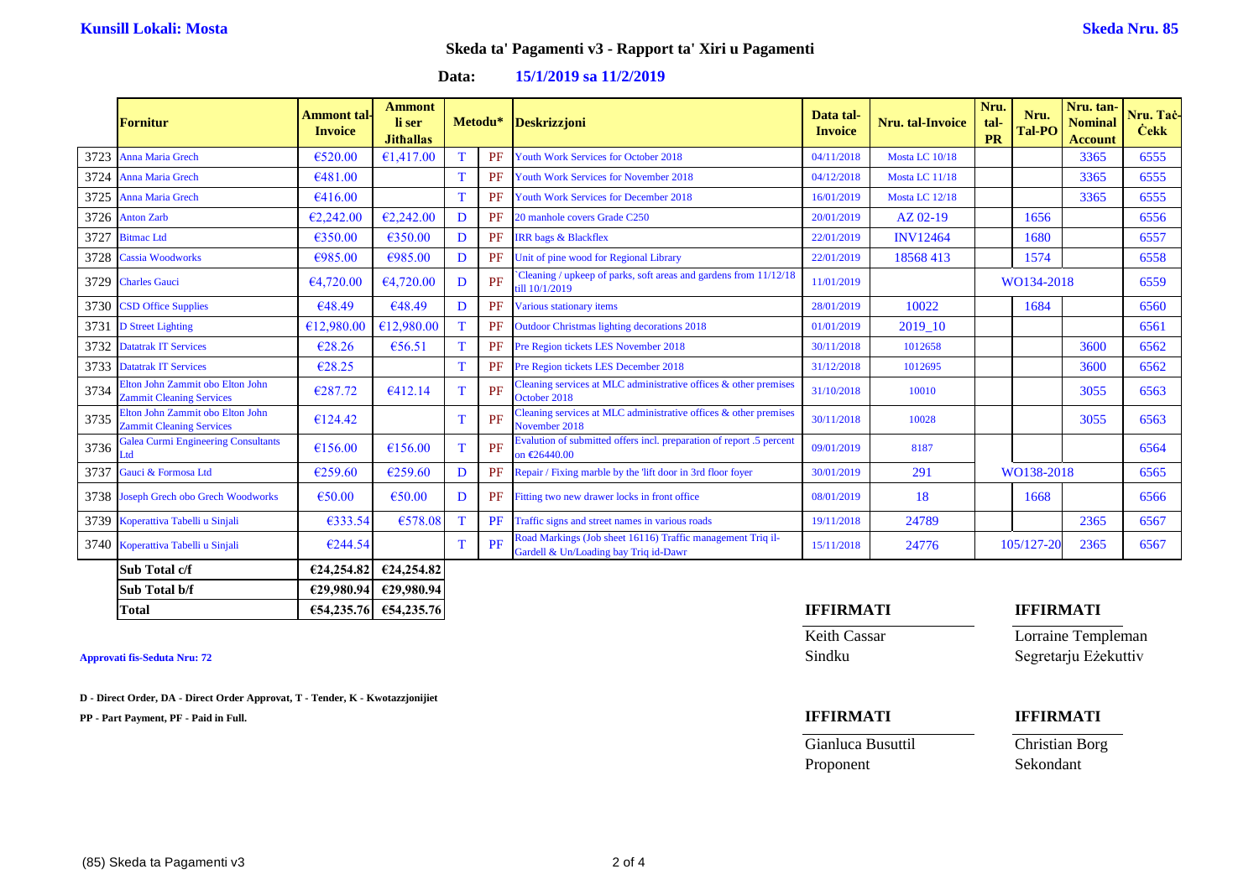### **Data: 15/1/2019 sa 11/2/2019**

|      | <b>Fornitur</b>                                                     | <b>Ammont</b> tal-<br><b>Invoice</b> | <b>Ammont</b><br>li ser<br><b>Jithallas</b> |   |           | Metodu* Deskrizzjoni                                                                                 | Data tal-<br><b>Invoice</b> | <b>Nru.</b> tal-Invoice | Nru.<br>tal-<br><b>PR</b> | Nru.<br><b>Tal-PO</b> | Nru. tan-<br><b>Nominal</b><br><b>Account</b> | Nru. Tac-<br><b>Čekk</b> |
|------|---------------------------------------------------------------------|--------------------------------------|---------------------------------------------|---|-----------|------------------------------------------------------------------------------------------------------|-----------------------------|-------------------------|---------------------------|-----------------------|-----------------------------------------------|--------------------------|
| 3723 | Anna Maria Grech                                                    | €520.00                              | €1,417.00                                   |   | PF        | Youth Work Services for October 2018                                                                 | 04/11/2018                  | Mosta LC 10/18          |                           |                       | 3365                                          | 6555                     |
| 3724 | Anna Maria Grech                                                    | €481.00                              |                                             |   | PF        | <b>Youth Work Services for November 2018</b>                                                         | 04/12/2018                  | Mosta LC 11/18          |                           |                       | 3365                                          | 6555                     |
| 3725 | <b>Anna Maria Grech</b>                                             | €416.00                              |                                             |   | PF        | Youth Work Services for December 2018                                                                | 16/01/2019                  | Mosta LC 12/18          |                           |                       | 3365                                          | 6555                     |
| 3726 | <b>Anton Zarb</b>                                                   | E2,242.00                            | E2,242.00                                   | D | PF        | 20 manhole covers Grade C250                                                                         | 20/01/2019                  | AZ 02-19                |                           | 1656                  |                                               | 6556                     |
| 3727 | <b>Bitmac</b> Ltd                                                   | €350.00                              | €350.00                                     | D | PF        | <b>IRR</b> bags & Blackflex                                                                          | 22/01/2019                  | <b>INV12464</b>         |                           | 1680                  |                                               | 6557                     |
| 3728 | <b>Cassia Woodworks</b>                                             | €985.00                              | €985.00                                     | D | PF        | Unit of pine wood for Regional Library                                                               | 22/01/2019                  | 18568413                |                           | 1574                  |                                               | 6558                     |
| 3729 | <b>Charles Gauci</b>                                                | €4,720.00                            | €4,720.00                                   | D | PF        | Cleaning / upkeep of parks, soft areas and gardens from 11/12/18<br>till 10/1/2019                   | 11/01/2019                  |                         | WO134-2018                |                       |                                               | 6559                     |
| 3730 | <b>CSD Office Supplies</b>                                          | €48.49                               | €48.49                                      | D | PF        | Various stationary items                                                                             | 28/01/2019                  | 10022                   |                           | 1684                  |                                               | 6560                     |
| 3731 | <b>D</b> Street Lighting                                            | €12,980.00                           | €12,980.00                                  |   | PF        | <b>Outdoor Christmas lighting decorations 2018</b>                                                   | 01/01/2019                  | 2019 10                 |                           |                       |                                               | 6561                     |
| 3732 | <b>Datatrak IT Services</b>                                         | €28.26                               | €56.51                                      |   | PF        | Pre Region tickets LES November 2018                                                                 | 30/11/2018                  | 1012658                 |                           |                       | 3600                                          | 6562                     |
| 3733 | <b>Datatrak IT Services</b>                                         | €28.25                               |                                             |   | PF        | Pre Region tickets LES December 2018                                                                 | 31/12/2018                  | 1012695                 |                           |                       | 3600                                          | 6562                     |
| 3734 | Elton John Zammit obo Elton John<br><b>Zammit Cleaning Services</b> | €287.72                              | €412.14                                     |   | PF        | Cleaning services at MLC administrative offices $\&$ other premises<br>October 2018                  | 31/10/2018                  | 10010                   |                           |                       | 3055                                          | 6563                     |
| 3735 | Elton John Zammit obo Elton John<br><b>Zammit Cleaning Services</b> | €124.42                              |                                             |   | PF        | Cleaning services at MLC administrative offices $\&$ other premises<br>November 2018                 | 30/11/2018                  | 10028                   |                           |                       | 3055                                          | 6563                     |
| 3736 | <b>Galea Curmi Engineering Consultants</b><br>Ltd                   | €156.00                              | €156.00                                     | T | PF        | Evalution of submitted offers incl. preparation of report .5 percent<br>on €26440.00                 | 09/01/2019                  | 8187                    |                           |                       |                                               | 6564                     |
| 3737 | Gauci & Formosa Ltd                                                 | €259.60                              | €259.60                                     | D | <b>PF</b> | Repair / Fixing marble by the 'lift door in 3rd floor foyer                                          | 30/01/2019                  | 291                     |                           | WO138-2018            |                                               | 6565                     |
|      | 3738 Joseph Grech obo Grech Woodworks                               | €50.00                               | €50.00                                      | D | PF        | Fitting two new drawer locks in front office                                                         | 08/01/2019                  | 18                      |                           | 1668                  |                                               | 6566                     |
| 3739 | Koperattiva Tabelli u Sinjali                                       | €333.54                              | €578.08                                     |   | PF        | Traffic signs and street names in various roads                                                      | 19/11/2018                  | 24789                   |                           |                       | 2365                                          | 6567                     |
| 3740 | Koperattiva Tabelli u Sinjali                                       | €244.54                              |                                             |   | PF        | Road Markings (Job sheet 16116) Traffic management Triq il-<br>Gardell & Un/Loading bay Triq id-Dawr | 15/11/2018                  | 24776                   |                           | 105/127-20            | 2365                                          | 6567                     |
|      | Sub Total c/f                                                       | €24,254.82                           | €24,254.82                                  |   |           |                                                                                                      |                             |                         |                           |                       |                                               |                          |
|      | Sub Total b/f                                                       |                                      | €29,980.94 €29,980.94                       |   |           |                                                                                                      |                             |                         |                           |                       |                                               |                          |

**Approvati fis-Seduta Nru: 72** Sindku Segretarju Eżekuttiv

**D - Direct Order, DA - Direct Order Approvat, T - Tender, K - Kwotazzjonijiet**

**PP - Part Payment, PF - Paid in Full. IFFIRMATI IFFIRMATI**

### **Total €54,235.76 €54,235.76 IFFIRMATI IFFIRMATI**

Keith Cassar **Lorraine Templeman** 

Gianluca Busuttil Christian Borg Proponent Sekondant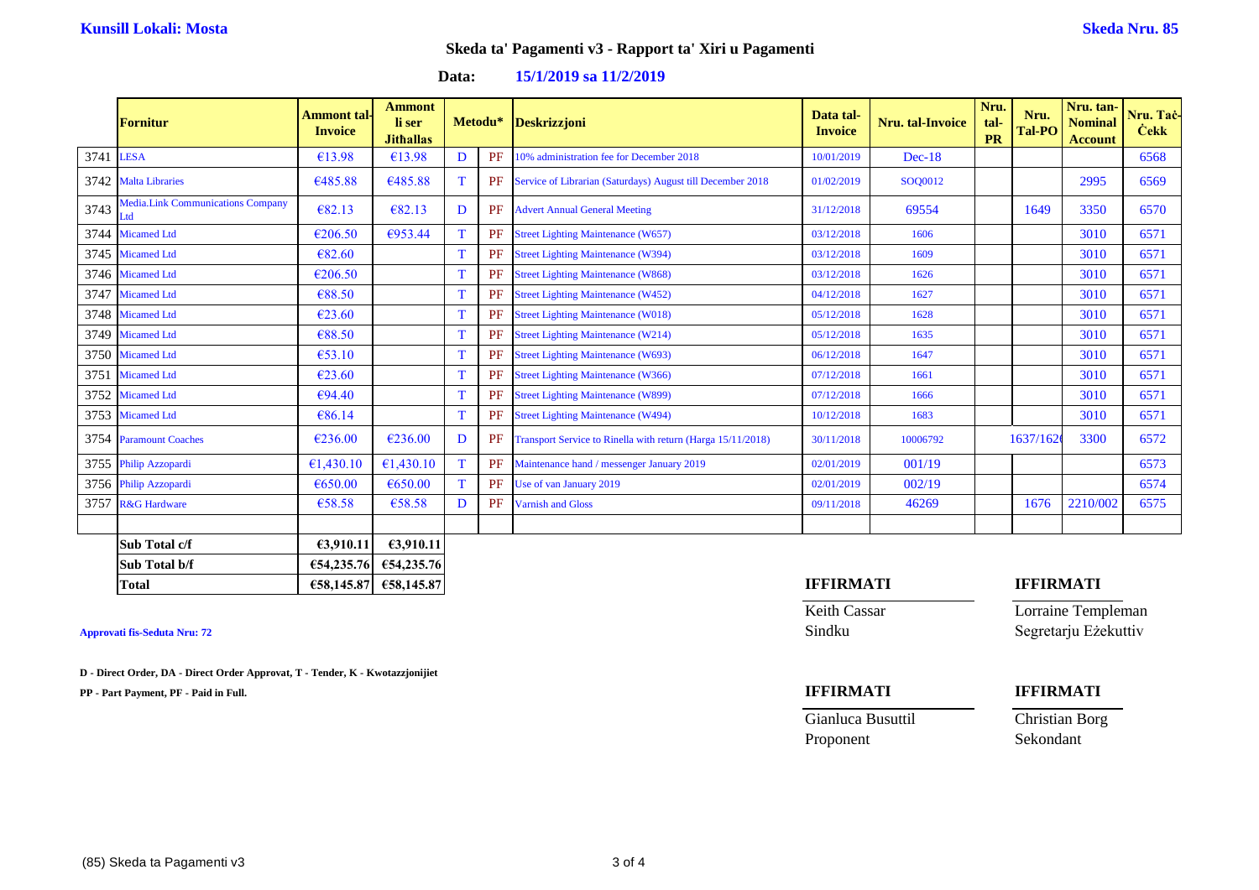### **Data: 15/1/2019 sa 11/2/2019**

|           | <b>Fornitur</b>                                 | <b>Ammont tal-</b><br><b>Invoice</b> | <b>Ammont</b><br>li ser<br><b>Jithallas</b> |    | Metodu* | Deskrizzjoni                                                | Data tal-<br><b>Invoice</b> | <b>Nru.</b> tal-Invoice | Nru.<br>tal-<br><b>PR</b> | Nru.<br>Tal-PO   | Nru. tan-<br><b>Nominal</b><br><b>Account</b> | Nru. Tac-<br><b>Cekk</b> |
|-----------|-------------------------------------------------|--------------------------------------|---------------------------------------------|----|---------|-------------------------------------------------------------|-----------------------------|-------------------------|---------------------------|------------------|-----------------------------------------------|--------------------------|
| 3741 LESA |                                                 | €13.98                               | €13.98                                      | D  | PF      | 10% administration fee for December 2018                    | 10/01/2019                  | $Dec-18$                |                           |                  |                                               | 6568                     |
|           | 3742 Malta Libraries                            | €485.88                              | €485.88                                     | T  | PF      | Service of Librarian (Saturdays) August till December 2018  | 01/02/2019                  | SOO0012                 |                           |                  | 2995                                          | 6569                     |
| 3743      | <b>Media.Link Communications Company</b><br>Ltd | €82.13                               | €82.13                                      | D  | PF      | <b>Advert Annual General Meeting</b>                        | 31/12/2018                  | 69554                   |                           | 1649             | 3350                                          | 6570                     |
| 3744      | <b>Micamed Ltd</b>                              | €206.50                              | €953.44                                     | T. | PF      | <b>Street Lighting Maintenance (W657)</b>                   | 03/12/2018                  | 1606                    |                           |                  | 3010                                          | 6571                     |
|           | 3745 Micamed Ltd                                | €82.60                               |                                             | T  | PF      | <b>Street Lighting Maintenance (W394)</b>                   | 03/12/2018                  | 1609                    |                           |                  | 3010                                          | 6571                     |
|           | 3746 Micamed Ltd                                | €206.50                              |                                             | T  | PF      | <b>Street Lighting Maintenance (W868)</b>                   | 03/12/2018                  | 1626                    |                           |                  | 3010                                          | 6571                     |
| 3747      | <b>Micamed Ltd</b>                              | €88.50                               |                                             | T  | PF      | <b>Street Lighting Maintenance (W452)</b>                   | 04/12/2018                  | 1627                    |                           |                  | 3010                                          | 6571                     |
|           | 3748 Micamed Ltd                                | €23.60                               |                                             | T  | PF      | <b>Street Lighting Maintenance (W018)</b>                   | 05/12/2018                  | 1628                    |                           |                  | 3010                                          | 6571                     |
|           | 3749 Micamed Ltd                                | €88.50                               |                                             |    | PF      | <b>Street Lighting Maintenance (W214)</b>                   | 05/12/2018                  | 1635                    |                           |                  | 3010                                          | 6571                     |
|           | 3750 Micamed Ltd                                | €53.10                               |                                             |    | PF      | <b>Street Lighting Maintenance (W693)</b>                   | 06/12/2018                  | 1647                    |                           |                  | 3010                                          | 6571                     |
| 3751      | <b>Micamed Ltd</b>                              | €23.60                               |                                             |    | PF      | <b>Street Lighting Maintenance (W366)</b>                   | 07/12/2018                  | 1661                    |                           |                  | 3010                                          | 6571                     |
|           | 3752 Micamed Ltd                                | €94.40                               |                                             |    | PF      | <b>Street Lighting Maintenance (W899)</b>                   | 07/12/2018                  | 1666                    |                           |                  | 3010                                          | 6571                     |
|           | 3753 Micamed Ltd                                | €86.14                               |                                             |    | PF      | <b>Street Lighting Maintenance (W494)</b>                   | 10/12/2018                  | 1683                    |                           |                  | 3010                                          | 6571                     |
|           | 3754 Paramount Coaches                          | €236.00                              | €236.00                                     | D  | PF      | Transport Service to Rinella with return (Harga 15/11/2018) | 30/11/2018                  | 10006792                |                           | 1637/162         | 3300                                          | 6572                     |
|           | 3755 Philip Azzopardi                           | €1,430.10                            | €1,430.10                                   | T. | PF      | Maintenance hand / messenger January 2019                   | 02/01/2019                  | 001/19                  |                           |                  |                                               | 6573                     |
|           | 3756 Philip Azzopardi                           | €650.00                              | €650.00                                     |    | PF      | Use of van January 2019                                     | 02/01/2019                  | 002/19                  |                           |                  |                                               | 6574                     |
| 3757      | <b>R&amp;G</b> Hardware                         | €58.58                               | €58.58                                      | D  | PF      | <b>Varnish and Gloss</b>                                    | 09/11/2018                  | 46269                   |                           | 1676             | 2210/002                                      | 6575                     |
|           |                                                 |                                      |                                             |    |         |                                                             |                             |                         |                           |                  |                                               |                          |
|           | Sub Total c/f                                   | €3.910.11                            | £3,910.11                                   |    |         |                                                             |                             |                         |                           |                  |                                               |                          |
|           | Sub Total b/f                                   | €54,235.76                           | €54,235.76                                  |    |         |                                                             |                             |                         |                           |                  |                                               |                          |
|           | <b>Total</b>                                    |                                      | €58,145.87 €58,145.87                       |    |         |                                                             | <b>IFFIRMATI</b>            |                         |                           | <b>IFFIRMATI</b> |                                               |                          |

**D - Direct Order, DA - Direct Order Approvat, T - Tender, K - Kwotazzjonijiet**

**PP - Part Payment, PF - Paid in Full. IFFIRMATI IFFIRMATI**

Keith Cassar **Lorraine Templeman Approvati fis-Seduta Nru: 72** Sindku Segretarju Eżekuttiv

Proponent Sekondant

# Gianluca Busuttil Christian Borg